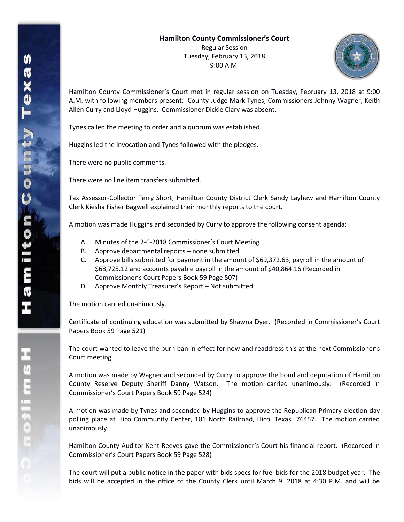

Hamilton County Commissioner's Court met in regular session on Tuesday, February 13, 2018 at 9:00 A.M. with following members present: County Judge Mark Tynes, Commissioners Johnny Wagner, Keith Allen Curry and Lloyd Huggins. Commissioner Dickie Clary was absent.

Tynes called the meeting to order and a quorum was established.

Huggins led the invocation and Tynes followed with the pledges.

There were no public comments.

There were no line item transfers submitted.

Tax Assessor-Collector Terry Short, Hamilton County District Clerk Sandy Layhew and Hamilton County Clerk Kiesha Fisher Bagwell explained their monthly reports to the court.

A motion was made Huggins and seconded by Curry to approve the following consent agenda:

- A. Minutes of the 2-6-2018 Commissioner's Court Meeting
- B. Approve departmental reports none submitted
- C. Approve bills submitted for payment in the amount of \$69,372.63, payroll in the amount of \$68,725.12 and accounts payable payroll in the amount of \$40,864.16 (Recorded in Commissioner's Court Papers Book 59 Page 507)
- D. Approve Monthly Treasurer's Report Not submitted

The motion carried unanimously.

Certificate of continuing education was submitted by Shawna Dyer. (Recorded in Commissioner's Court Papers Book 59 Page 521)

The court wanted to leave the burn ban in effect for now and readdress this at the next Commissioner's Court meeting.

A motion was made by Wagner and seconded by Curry to approve the bond and deputation of Hamilton County Reserve Deputy Sheriff Danny Watson. The motion carried unanimously. (Recorded in Commissioner's Court Papers Book 59 Page 524)

A motion was made by Tynes and seconded by Huggins to approve the Republican Primary election day polling place at Hico Community Center, 101 North Railroad, Hico, Texas 76457. The motion carried unanimously.

Hamilton County Auditor Kent Reeves gave the Commissioner's Court his financial report. (Recorded in Commissioner's Court Papers Book 59 Page 528)

The court will put a public notice in the paper with bids specs for fuel bids for the 2018 budget year. The bids will be accepted in the office of the County Clerk until March 9, 2018 at 4:30 P.M. and will be

エムミニャクこ